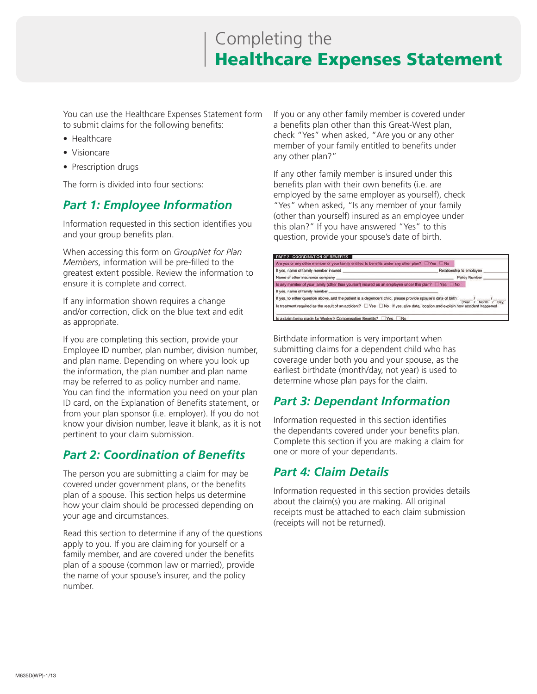# Completing the Healthcare Expenses Statement

You can use the Healthcare Expenses Statement form to submit claims for the following benefits:

- Healthcare
- Visioncare
- Prescription drugs

The form is divided into four sections:

### *Part 1: Employee Information*

Information requested in this section identifies you and your group benefits plan.

When accessing this form on *GroupNet for Plan Members*, information will be pre-filled to the greatest extent possible. Review the information to ensure it is complete and correct.

If any information shown requires a change and/or correction, click on the blue text and edit as appropriate.

If you are completing this section, provide your Employee ID number, plan number, division number, and plan name. Depending on where you look up the information, the plan number and plan name may be referred to as policy number and name. You can find the information you need on your plan ID card, on the Explanation of Benefits statement, or from your plan sponsor (i.e. employer). If you do not know your division number, leave it blank, as it is not pertinent to your claim submission.

### *Part 2: Coordination of Benefits*

The person you are submitting a claim for may be covered under government plans, or the benefits plan of a spouse. This section helps us determine how your claim should be processed depending on your age and circumstances.

Read this section to determine if any of the questions apply to you. If you are claiming for yourself or a family member, and are covered under the benefits plan of a spouse (common law or married), provide the name of your spouse's insurer, and the policy number.

If you or any other family member is covered under a benefits plan other than this Great-West plan, check "Yes" when asked, "Are you or any other member of your family entitled to benefits under any other plan?"

If any other family member is insured under this benefits plan with their own benefits (i.e. are employed by the same employer as yourself), check "Yes" when asked, "Is any member of your family (other than yourself) insured as an employee under this plan?" If you have answered "Yes" to this question, provide your spouse's date of birth.



Birthdate information is very important when submitting claims for a dependent child who has coverage under both you and your spouse, as the earliest birthdate (month/day, not year) is used to determine whose plan pays for the claim.

## *Part 3: Dependant Information*

Information requested in this section identifies the dependants covered under your benefits plan. Complete this section if you are making a claim for one or more of your dependants.

### *Part 4: Claim Details*

Information requested in this section provides details about the claim(s) you are making. All original receipts must be attached to each claim submission (receipts will not be returned).